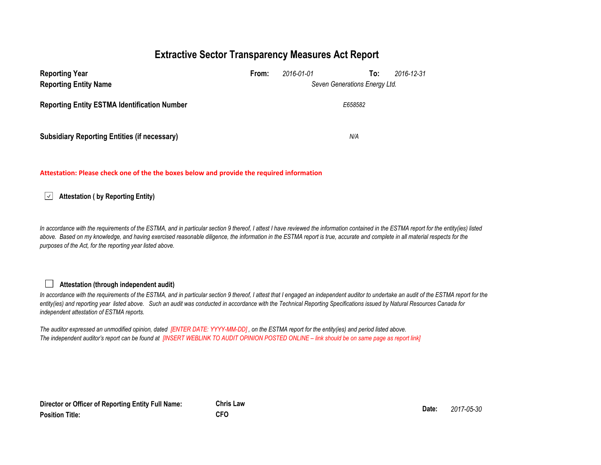### **Extractive Sector Transparency Measures Act Report**

| <b>Reporting Year</b>                               | From: | 2016-01-01                    | To: | 2016-12-31 |
|-----------------------------------------------------|-------|-------------------------------|-----|------------|
| <b>Reporting Entity Name</b>                        |       | Seven Generations Energy Ltd. |     |            |
| <b>Reporting Entity ESTMA Identification Number</b> |       | E658582                       |     |            |
| <b>Subsidiary Reporting Entities (if necessary)</b> |       | N/A                           |     |            |
|                                                     |       |                               |     |            |

#### **Attestation: Please check one of the the boxes below and provide the required information**

**Attestation ( by Reporting Entity)**  $\vert \downarrow \vert$ 

In accordance with the requirements of the ESTMA, and in particular section 9 thereof, I attest I have reviewed the information contained in the ESTMA report for the entity(ies) listed above. Based on my knowledge, and having exercised reasonable diligence, the information in the ESTMA report is true, accurate and complete in all material respects for the *purposes of the Act, for the reporting year listed above.* 

#### **Attestation (through independent audit)**

In accordance with the requirements of the ESTMA, and in particular section 9 thereof, I attest that I engaged an independent auditor to undertake an audit of the ESTMA report for the *entity(ies) and reporting year listed above. Such an audit was conducted in accordance with the Technical Reporting Specifications issued by Natural Resources Canada for independent attestation of ESTMA reports.* 

*The auditor expressed an unmodified opinion, dated [ENTER DATE: YYYY-MM-DD] , on the ESTMA report for the entity(ies) and period listed above. The independent auditor's report can be found at [INSERT WEBLINK TO AUDIT OPINION POSTED ONLINE – link should be on same page as report link]* 

**Date:** *2017-05-30* **CFO**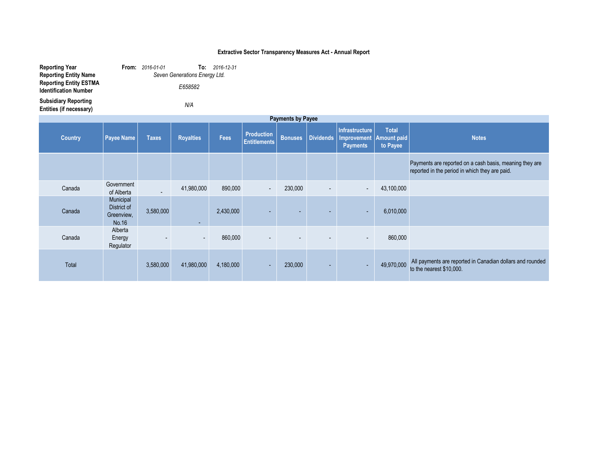| <b>Reporting Year</b>                                         | From:   | 2016-01-01 | To:                           | 2016-12-31 |  |  |  |  |
|---------------------------------------------------------------|---------|------------|-------------------------------|------------|--|--|--|--|
| <b>Reporting Entity Name</b>                                  |         |            | Seven Generations Energy Ltd. |            |  |  |  |  |
| <b>Reporting Entity ESTMA</b><br><b>Identification Number</b> | E658582 |            |                               |            |  |  |  |  |
| <b>Subsidiary Reporting</b><br><b>Entities (if necessary)</b> |         |            | N/A                           |            |  |  |  |  |

| <b>Payments by Payee</b> |                                                 |                |                  |             |                                          |                |                  |                                                  |                                                |                                                                                                           |  |
|--------------------------|-------------------------------------------------|----------------|------------------|-------------|------------------------------------------|----------------|------------------|--------------------------------------------------|------------------------------------------------|-----------------------------------------------------------------------------------------------------------|--|
| <b>Country</b>           | <b>Payee Name</b>                               | <b>Taxes</b>   | <b>Royalties</b> | <b>Fees</b> | <b>Production</b><br><b>Entitlements</b> | <b>Bonuses</b> | <b>Dividends</b> | Infrastructure<br>Improvement<br><b>Payments</b> | <b>Total</b><br><b>Amount paid</b><br>to Payee | <b>Notes</b>                                                                                              |  |
|                          |                                                 |                |                  |             |                                          |                |                  |                                                  |                                                | Payments are reported on a cash basis, meaning they are<br>reported in the period in which they are paid. |  |
| Canada                   | Government<br>of Alberta                        |                | 41,980,000       | 890,000     | $\sim$                                   | 230,000        | $\sim$           | $\blacksquare$                                   | 43,100,000                                     |                                                                                                           |  |
| Canada                   | Municipal<br>District of<br>Greenview,<br>No.16 | 3,580,000      | $\sim$           | 2,430,000   | $\sim$                                   | $\sim$         | $\sim$           | $\sim$                                           | 6,010,000                                      |                                                                                                           |  |
| Canada                   | Alberta<br>Energy<br>Regulator                  | $\blacksquare$ | $\sim$           | 860,000     |                                          |                |                  | $\overline{\phantom{a}}$                         | 860,000                                        |                                                                                                           |  |
| Total                    |                                                 | 3,580,000      | 41,980,000       | 4,180,000   |                                          | 230,000        | $\sim$           |                                                  | 49,970,000                                     | All payments are reported in Canadian dollars and rounded<br>to the nearest \$10,000.                     |  |

# **Extractive Sector Transparency Measures Act - Annual Report**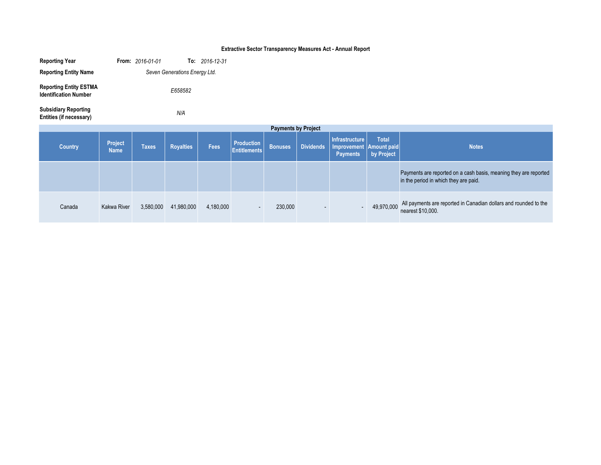| <b>Reporting Year</b>                                         |                               | <b>From: 2016-01-01</b>       |                  | To: 2016-12-31 |                                          |                            |                  |                                          |  |  |
|---------------------------------------------------------------|-------------------------------|-------------------------------|------------------|----------------|------------------------------------------|----------------------------|------------------|------------------------------------------|--|--|
| <b>Reporting Entity Name</b>                                  |                               | Seven Generations Energy Ltd. |                  |                |                                          |                            |                  |                                          |  |  |
| <b>Reporting Entity ESTMA</b><br><b>Identification Number</b> |                               |                               | E658582          |                |                                          |                            |                  |                                          |  |  |
| <b>Subsidiary Reporting</b><br><b>Entities (if necessary)</b> |                               |                               | N/A              |                |                                          |                            |                  |                                          |  |  |
|                                                               |                               |                               |                  |                |                                          | <b>Payments by Project</b> |                  |                                          |  |  |
| <b>Country</b>                                                | <b>Project</b><br><b>Name</b> | <b>Taxes</b>                  | <b>Royalties</b> | <b>Fees</b>    | <b>Production</b><br><b>Entitlements</b> | <b>Bonuses</b>             | <b>Dividends</b> | <b>Infrasti</b><br><b>Improv</b><br>Payn |  |  |

| <b>Country</b> | <b>Project</b><br><b>Name</b> | <b>Taxes</b> | <b>Royalties</b> | <b>Fees</b> | <b>Production</b><br><b>Entitlements</b> | <b>Bonuses</b> | <b>Dividends</b>         | <b>Infrastructure</b><br>  Improvement   Amount paid    <br><b>Payments</b> | <b>Total</b><br>by Project | <b>Notes</b>                                                                                              |
|----------------|-------------------------------|--------------|------------------|-------------|------------------------------------------|----------------|--------------------------|-----------------------------------------------------------------------------|----------------------------|-----------------------------------------------------------------------------------------------------------|
|                |                               |              |                  |             |                                          |                |                          |                                                                             |                            | Payments are reported on a cash basis, meaning they are reported<br>in the period in which they are paid. |
| Canada         | <b>Kakwa River</b>            | 3,580,000    | 41,980,000       | 4,180,000   |                                          | 230,000        | $\overline{\phantom{a}}$ |                                                                             | 49,970,000                 | All payments are reported in Canadian dollars and rounded to the<br>nearest \$10,000.                     |

## **Extractive Sector Transparency Measures Act - Annual Report**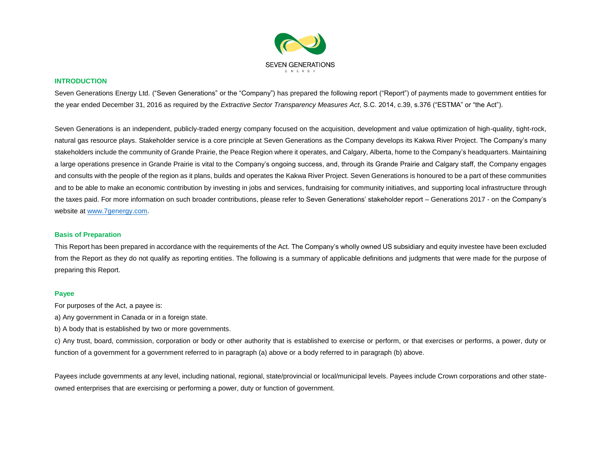

#### **INTRODUCTION**

Seven Generations Energy Ltd. ("Seven Generations" or the "Company") has prepared the following report ("Report") of payments made to government entities for the year ended December 31, 2016 as required by the *Extractive Sector Transparency Measures Act*, S.C. 2014, c.39, s.376 ("ESTMA" or "the Act").

Seven Generations is an independent, publicly-traded energy company focused on the acquisition, development and value optimization of high-quality, tight-rock, natural gas resource plays. Stakeholder service is a core principle at Seven Generations as the Company develops its Kakwa River Project. The Company's many stakeholders include the community of Grande Prairie, the Peace Region where it operates, and Calgary, Alberta, home to the Company's headquarters. Maintaining a large operations presence in Grande Prairie is vital to the Company's ongoing success, and, through its Grande Prairie and Calgary staff, the Company engages and consults with the people of the region as it plans, builds and operates the Kakwa River Project. Seven Generations is honoured to be a part of these communities and to be able to make an economic contribution by investing in jobs and services, fundraising for community initiatives, and supporting local infrastructure through the taxes paid. For more information on such broader contributions, please refer to Seven Generations' stakeholder report – Generations 2017 - on the Company's website at [www.7genergy.com.](http://www.7genergy.com/)

#### **Basis of Preparation**

This Report has been prepared in accordance with the requirements of the Act. The Company's wholly owned US subsidiary and equity investee have been excluded from the Report as they do not qualify as reporting entities. The following is a summary of applicable definitions and judgments that were made for the purpose of preparing this Report.

#### **Payee**

For purposes of the Act, a payee is:

a) Any government in Canada or in a foreign state.

b) A body that is established by two or more governments.

c) Any trust, board, commission, corporation or body or other authority that is established to exercise or perform, or that exercises or performs, a power, duty or function of a government for a government referred to in paragraph (a) above or a body referred to in paragraph (b) above.

Payees include governments at any level, including national, regional, state/provincial or local/municipal levels. Payees include Crown corporations and other stateowned enterprises that are exercising or performing a power, duty or function of government.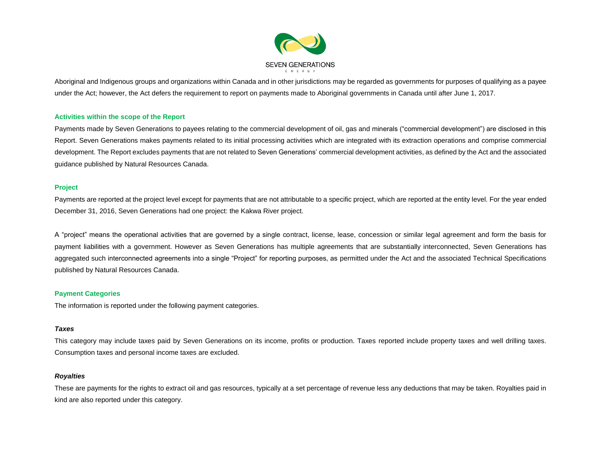

Aboriginal and Indigenous groups and organizations within Canada and in other jurisdictions may be regarded as governments for purposes of qualifying as a payee under the Act; however, the Act defers the requirement to report on payments made to Aboriginal governments in Canada until after June 1, 2017.

#### **Activities within the scope of the Report**

Payments made by Seven Generations to payees relating to the commercial development of oil, gas and minerals ("commercial development") are disclosed in this Report. Seven Generations makes payments related to its initial processing activities which are integrated with its extraction operations and comprise commercial development. The Report excludes payments that are not related to Seven Generations' commercial development activities, as defined by the Act and the associated guidance published by Natural Resources Canada.

#### **Project**

Payments are reported at the project level except for payments that are not attributable to a specific project, which are reported at the entity level. For the year ended December 31, 2016, Seven Generations had one project: the Kakwa River project.

A "project" means the operational activities that are governed by a single contract, license, lease, concession or similar legal agreement and form the basis for payment liabilities with a government. However as Seven Generations has multiple agreements that are substantially interconnected, Seven Generations has aggregated such interconnected agreements into a single "Project" for reporting purposes, as permitted under the Act and the associated Technical Specifications published by Natural Resources Canada.

#### **Payment Categories**

The information is reported under the following payment categories.

#### *Taxes*

This category may include taxes paid by Seven Generations on its income, profits or production. Taxes reported include property taxes and well drilling taxes. Consumption taxes and personal income taxes are excluded.

#### *Royalties*

These are payments for the rights to extract oil and gas resources, typically at a set percentage of revenue less any deductions that may be taken. Royalties paid in kind are also reported under this category.